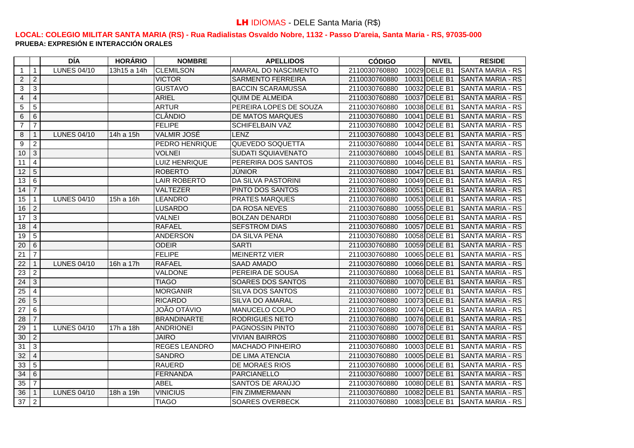|                 |                     | DÍA                | <b>HORÁRIO</b>         | <b>NOMBRE</b>         | <b>APELLIDOS</b>          | <b>CÓDIGO</b> | <b>NIVEL</b>  | <b>RESIDE</b>            |
|-----------------|---------------------|--------------------|------------------------|-----------------------|---------------------------|---------------|---------------|--------------------------|
| -1              | $\overline{1}$      | <b>LUNES 04/10</b> | $\overline{13h}15a14h$ | <b>CLEMILSON</b>      | AMARAL DO NASCIMENTO      | 2110030760880 | 10029 DELE B1 | <b>SANTA MARIA - RS</b>  |
| $\overline{2}$  | $\overline{2}$      |                    |                        | <b>VICTOR</b>         | <b>SARMENTO FERREIRA</b>  | 2110030760880 | 10031 DELE B1 | <b>SANTA MARIA - RS</b>  |
| 3               | $\mathbf{3}$        |                    |                        | <b>GUSTAVO</b>        | <b>BACCIN SCARAMUSSA</b>  | 2110030760880 | 10032 DELE B1 | <b>SANTA MARIA - RS</b>  |
| $\overline{4}$  | $\overline{4}$      |                    |                        | <b>ARIEL</b>          | <b>QUIM DE ALMEIDA</b>    | 2110030760880 | 10037 DELE B1 | <b>SANTA MARIA - RS</b>  |
| 5               | $\sqrt{5}$          |                    |                        | <b>ARTUR</b>          | PEREIRA LOPES DE SOUZA    | 2110030760880 | 10038 DELE B1 | ISANTA MARIA - RS        |
| 6               | 6                   |                    |                        | <b>CLÂNDIO</b>        | <b>DE MATOS MARQUES</b>   | 2110030760880 | 10041 DELE B1 | <b>ISANTA MARIA - RS</b> |
| $\overline{7}$  | $\overline{7}$      |                    |                        | <b>FELIPE</b>         | <b>SCHIFELBAIN VAZ</b>    | 2110030760880 | 10042 DELE B1 | <b>SANTA MARIA - RS</b>  |
| 8               | $\overline{1}$      | <b>LUNES 04/10</b> | 14h a 15h              | <b>VALMIR JOSÉ</b>    | LENZ                      | 2110030760880 | 10043 DELE B1 | <b>SANTA MARIA - RS</b>  |
| 9               | $\overline{2}$      |                    |                        | <b>PEDRO HENRIQUE</b> | QUEVEDO SOQUETTA          | 2110030760880 | 10044 DELE B1 | <b>SANTA MARIA - RS</b>  |
| 10              | $\overline{\omega}$ |                    |                        | <b>VOLNEI</b>         | <b>SUDATI SQUIAVENATO</b> | 2110030760880 | 10045 DELE B1 | <b>SANTA MARIA - RS</b>  |
| 11              | $\overline{4}$      |                    |                        | LUIZ HENRIQUE         | PERERIRA DOS SANTOS       | 2110030760880 | 10046 DELE B1 | <b>SANTA MARIA - RS</b>  |
| 12              | $\overline{5}$      |                    |                        | <b>ROBERTO</b>        | <b>JUNIOR</b>             | 2110030760880 | 10047 DELE B1 | <b>SANTA MARIA - RS</b>  |
| 13              | $6\phantom{1}6$     |                    |                        | <b>LAIR ROBERTO</b>   | DA SILVA PASTORINI        | 2110030760880 | 10049 DELE B1 | <b>SANTA MARIA - RS</b>  |
| 14              | $\overline{7}$      |                    |                        | VALTEZER              | PINTO DOS SANTOS          | 2110030760880 | 10051 DELE B1 | ISANTA MARIA - RS        |
| 15              | $\overline{1}$      | <b>LUNES 04/10</b> | 15h a 16h              | LEANDRO               | <b>PRATES MARQUES</b>     | 2110030760880 | 10053 DELE B1 | <b>SANTA MARIA - RS</b>  |
| 16              | $\overline{2}$      |                    |                        | LUSARDO               | <b>DA ROSA NEVES</b>      | 2110030760880 | 10055 DELE B1 | ISANTA MARIA - RS        |
| 17              | $\overline{3}$      |                    |                        | <b>VALNEI</b>         | <b>BOLZAN DENARDI</b>     | 2110030760880 | 10056 DELE B1 | <b>ISANTA MARIA - RS</b> |
| 18              | $\overline{4}$      |                    |                        | <b>RAFAEL</b>         | <b>SEFSTROM DIAS</b>      | 2110030760880 | 10057 DELE B1 | <b>SANTA MARIA - RS</b>  |
| 19              | $\overline{5}$      |                    |                        | <b>ANDERSON</b>       | <b>DA SILVA PENA</b>      | 2110030760880 | 10058 DELE B1 | <b>ISANTA MARIA - RS</b> |
| 20              | 6                   |                    |                        | <b>ODEIR</b>          | <b>SARTI</b>              | 2110030760880 | 10059 DELE B1 | <b>SANTA MARIA - RS</b>  |
| 21              | $\overline{7}$      |                    |                        | FELIPE                | <b>MEINERTZ VIER</b>      | 2110030760880 | 10065 DELE B1 | <b>SANTA MARIA - RS</b>  |
| 22              | $\overline{1}$      | <b>LUNES 04/10</b> | 16h a 17h              | <b>RAFAEL</b>         | <b>SAAD AMADO</b>         | 2110030760880 | 10066 DELE B1 | <b>SANTA MARIA - RS</b>  |
| 23              | $\overline{2}$      |                    |                        | <b>VALDONE</b>        | PEREIRA DE SOUSA          | 2110030760880 | 10068 DELE B1 | <b>ISANTA MARIA - RS</b> |
| 24              | $\overline{3}$      |                    |                        | <b>TIAGO</b>          | <b>SOARES DOS SANTOS</b>  | 2110030760880 | 10070 DELE B1 | <b>SANTA MARIA - RS</b>  |
| 25              | $\overline{4}$      |                    |                        | <b>MORGANIR</b>       | <b>SILVA DOS SANTOS</b>   | 2110030760880 | 10072 DELE B1 | <b>ISANTA MARIA - RS</b> |
| 26              | $\overline{5}$      |                    |                        | <b>RICARDO</b>        | <b>SILVA DO AMARAL</b>    | 2110030760880 | 10073 DELE B1 | <b>SANTA MARIA - RS</b>  |
| $\overline{27}$ | $\overline{6}$      |                    |                        | <b>JOÃO OTÁVIO</b>    | MANUCELO COLPO            | 2110030760880 | 10074 DELE B1 | <b>SANTA MARIA - RS</b>  |
| 28              | $\overline{7}$      |                    |                        | <b>BRANDINARTE</b>    | <b>RODRIGUES NETO</b>     | 2110030760880 | 10076 DELE B1 | <b>SANTA MARIA - RS</b>  |
| 29              | $\overline{1}$      | <b>LUNES 04/10</b> | 17h a 18h              | <b>ANDRIONEI</b>      | <b>PAGNOSSIN PINTO</b>    | 2110030760880 | 10078 DELE B1 | <b>SANTA MARIA - RS</b>  |
| 30              | $\overline{2}$      |                    |                        | <b>JAIRO</b>          | <b>VIVIAN BAIRROS</b>     | 2110030760880 | 10002 DELE B1 | ISANTA MARIA - RS        |
| $\overline{31}$ | $\overline{3}$      |                    |                        | <b>REGES LEANDRO</b>  | <b>MACHADO PINHEIRO</b>   | 2110030760880 | 10003 DELE B1 | <b>SANTA MARIA - RS</b>  |
| $\overline{32}$ | $\overline{4}$      |                    |                        | <b>SANDRO</b>         | <b>DE LIMA ATENCIA</b>    | 2110030760880 | 10005 DELE B1 | <b>SANTA MARIA - RS</b>  |
| 33              | $\overline{5}$      |                    |                        | <b>RAUERD</b>         | <b>DE MORAES RIOS</b>     | 2110030760880 | 10006 DELE B1 | <b>SANTA MARIA - RS</b>  |
| 34              | 6                   |                    |                        | <b>FERNANDA</b>       | <b>PARCIANELLO</b>        | 2110030760880 | 10007 DELE B1 | ISANTA MARIA - RS        |
| 35              | $\overline{7}$      |                    |                        | <b>ABEL</b>           | SANTOS DE ARAÚJO          | 2110030760880 | 10080 DELE B1 | ISANTA MARIA - RS        |
| 36              | $\overline{1}$      | <b>LUNES 04/10</b> | 18h a 19h              | <b>VINICIUS</b>       | <b>FIN ZIMMERMANN</b>     | 2110030760880 | 10082 DELE B1 | <b>SANTA MARIA - RS</b>  |
| 37              | $\overline{2}$      |                    |                        | <b>TIAGO</b>          | SOARES OVERBECK           | 2110030760880 | 10083 DELE B1 | <b>SANTA MARIA - RS</b>  |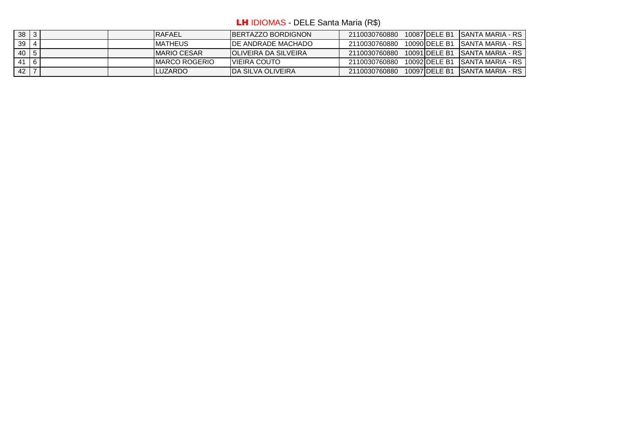LH IDIOMAS - DELE Santa Maria (R\$)

| 38          | -3          |  | <b>IRAFAEL</b>      | <b>IBERTAZZO BORDIGNON</b>   | 2110030760880 | 10087 DELE B1 | ISANTA MARIA - RS |
|-------------|-------------|--|---------------------|------------------------------|---------------|---------------|-------------------|
| 39          |             |  | <b>IMATHEUS</b>     | <b>IDE ANDRADE MACHADO</b>   | 2110030760880 | 10090 DELE B1 | ISANTA MARIA - RS |
| $40 \mid 5$ |             |  | <b>IMARIO CESAR</b> | <b>IOLIVEIRA DA SILVEIRA</b> | 2110030760880 | 10091 DELE B1 | ISANTA MARIA - RS |
| 41          | $ 6\rangle$ |  | IMARCO ROGERIO      | <b>IVIEIRA COUTO</b>         | 2110030760880 | 10092 DELE B1 | ISANTA MARIA - RS |
| 42          |             |  | <b>ILUZARDO</b>     | <b>IDA SILVA OLIVEIRA</b>    | 2110030760880 | 10097 DELE B1 | ISANTA MARIA - RS |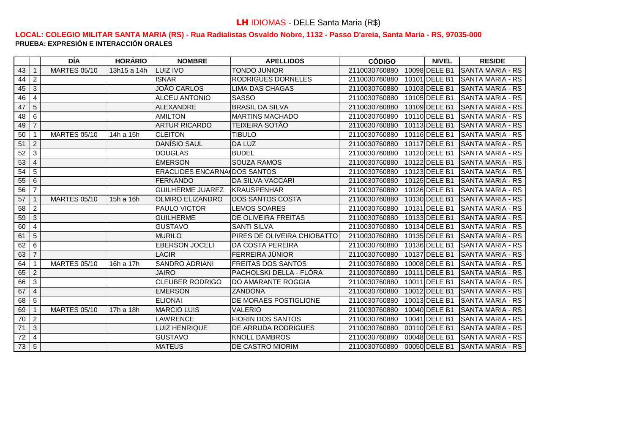|    |                 | <b>DÍA</b>          | <b>HORÁRIO</b> | <b>NOMBRE</b>                       | <b>APELLIDOS</b>            | <b>CÓDIGO</b> | <b>NIVEL</b>  | <b>RESIDE</b>           |
|----|-----------------|---------------------|----------------|-------------------------------------|-----------------------------|---------------|---------------|-------------------------|
| 43 | 1               | <b>MARTES 05/10</b> | 13h15 a 14h    | <b>LUIZ IVO</b>                     | <b>TONDO JUNIOR</b>         | 2110030760880 | 10098 DELE B1 | <b>SANTA MARIA - RS</b> |
| 44 | $\overline{2}$  |                     |                | <b>ISNAR</b>                        | RODRIGUES DORNELES          | 2110030760880 | 10101 DELE B1 | ISANTA MARIA - RS       |
| 45 | 3               |                     |                | JOÃO CARLOS                         | <b>LIMA DAS CHAGAS</b>      | 2110030760880 | 10103 DELE B1 | <b>SANTA MARIA - RS</b> |
| 46 | 4               |                     |                | <b>ALCEU ANTONIO</b>                | <b>SASSO</b>                | 2110030760880 | 10105 DELE B1 | <b>SANTA MARIA - RS</b> |
| 47 | 5               |                     |                | <b>ALEXANDRE</b>                    | <b>BRASIL DA SILVA</b>      | 2110030760880 | 10109 DELE B1 | ISANTA MARIA - RS       |
| 48 | 6               |                     |                | <b>AMILTON</b>                      | <b>MARTINS MACHADO</b>      | 2110030760880 | 10110 DELE B1 | ISANTA MARIA - RS       |
| 49 | $\overline{7}$  |                     |                | <b>ARTUR RICARDO</b>                | TEIXEIRA SOTÃO              | 2110030760880 | 10113 DELE B1 | <b>SANTA MARIA - RS</b> |
| 50 | $\mathbf 1$     | <b>MARTES 05/10</b> | 14h a 15h      | <b>CLEITON</b>                      | <b>TIBULO</b>               | 2110030760880 | 10116 DELE B1 | <b>SANTA MARIA - RS</b> |
| 51 | $\overline{c}$  |                     |                | <b>DANÍSIO SAUL</b>                 | DA LUZ                      | 2110030760880 | 10117 DELE B1 | ISANTA MARIA - RS       |
| 52 | $\mathbf{3}$    |                     |                | <b>DOUGLAS</b>                      | <b>BUDEL</b>                | 2110030760880 | 10120 DELE B1 | <b>SANTA MARIA - RS</b> |
| 53 | $\overline{4}$  |                     |                | <b>ÉMERSON</b>                      | <b>SOUZA RAMOS</b>          | 2110030760880 | 10122 DELE B1 | <b>SANTA MARIA - RS</b> |
| 54 | $5\overline{)}$ |                     |                | <b>ERACLIDES ENCARNA DOS SANTOS</b> |                             | 2110030760880 | 10123 DELE B1 | ISANTA MARIA - RS       |
| 55 | 6               |                     |                | <b>FERNANDO</b>                     | <b>DA SILVA VACCARI</b>     | 2110030760880 | 10125 DELE B1 | <b>SANTA MARIA - RS</b> |
| 56 | $\overline{7}$  |                     |                | <b>GUILHERME JUAREZ</b>             | <b>KRAUSPENHAR</b>          | 2110030760880 | 10126 DELE B1 | <b>SANTA MARIA - RS</b> |
| 57 | 1               | <b>MARTES 05/10</b> | 15h a 16h      | <b>OLMIRO ELIZANDRO</b>             | <b>IDOS SANTOS COSTA</b>    | 2110030760880 | 10130 DELE B1 | ISANTA MARIA - RS       |
| 58 | $\overline{2}$  |                     |                | PAULO VICTOR                        | <b>LEMOS SOARES</b>         | 2110030760880 | 10131 DELE B1 | <b>SANTA MARIA - RS</b> |
| 59 | $\overline{3}$  |                     |                | <b>GUILHERME</b>                    | DE OLIVEIRA FREITAS         | 2110030760880 | 10133 DELE B1 | <b>SANTA MARIA - RS</b> |
| 60 | $\overline{4}$  |                     |                | <b>GUSTAVO</b>                      | <b>SANTI SILVA</b>          | 2110030760880 | 10134 DELE B1 | ISANTA MARIA - RS       |
| 61 | $5\overline{)}$ |                     |                | <b>MURILO</b>                       | PIRES DE OLIVEIRA CHIOBATTO | 2110030760880 | 10135 DELE B1 | <b>SANTA MARIA - RS</b> |
| 62 | 6               |                     |                | <b>EBERSON JOCELI</b>               | <b>DA COSTA PEREIRA</b>     | 2110030760880 | 10136 DELE B1 | SANTA MARIA - RS        |
| 63 | $\overline{7}$  |                     |                | <b>LACIR</b>                        | FERREIRA JÚNIOR             | 2110030760880 | 10137 DELE B1 | ISANTA MARIA - RS       |
| 64 | $\mathbf{1}$    | <b>MARTES 05/10</b> | 16h a 17h      | <b>SANDRO ADRIANI</b>               | <b>FREITAS DOS SANTOS</b>   | 2110030760880 | 10008 DELE B1 | <b>SANTA MARIA - RS</b> |
| 65 | $\overline{2}$  |                     |                | <b>JAIRO</b>                        | PACHOLSKI DELLA - FLÓRA     | 2110030760880 | 10111 DELE B1 | <b>SANTA MARIA - RS</b> |
| 66 | $\overline{3}$  |                     |                | <b>CLEUBER RODRIGO</b>              | <b>DO AMARANTE ROGGIA</b>   | 2110030760880 | 10011 DELE B1 | <b>SANTA MARIA - RS</b> |
| 67 | $\overline{4}$  |                     |                | <b>EMERSON</b>                      | <b>ZANDONA</b>              | 2110030760880 | 10012 DELE B1 | ISANTA MARIA - RS       |
| 68 | $5\overline{)}$ |                     |                | <b>ELIONAI</b>                      | DE MORAES POSTIGLIONE       | 2110030760880 | 10013 DELE B1 | <b>SANTA MARIA - RS</b> |
| 69 | 1               | <b>MARTES 05/10</b> | 17h a 18h      | <b>MARCIO LUIS</b>                  | <b>VALERIO</b>              | 2110030760880 | 10040 DELE B1 | <b>SANTA MARIA - RS</b> |
| 70 | $\overline{2}$  |                     |                | <b>LAWRENCE</b>                     | <b>FIORIN DOS SANTOS</b>    | 2110030760880 | 10041 DELE B1 | SANTA MARIA - RS        |
| 71 | 3               |                     |                | <b>LUIZ HENRIQUE</b>                | DE ARRUDA RODRIGUES         | 2110030760880 | 00110 DELE B1 | <b>SANTA MARIA - RS</b> |
| 72 | $\overline{4}$  |                     |                | <b>GUSTAVO</b>                      | <b>KNOLL DAMBROS</b>        | 2110030760880 | 00048 DELE B1 | <b>SANTA MARIA - RS</b> |
| 73 | $5\overline{)}$ |                     |                | <b>MATEUS</b>                       | IDE CASTRO MIORIM           | 2110030760880 | 00050 DELE B1 | ISANTA MARIA - RS       |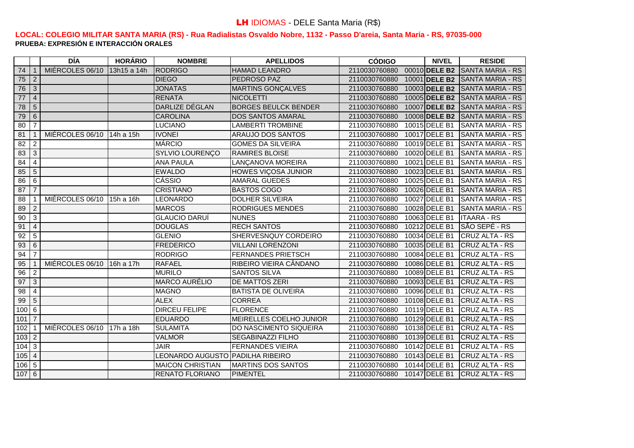|                 |                | <b>DÍA</b>                | <b>HORÁRIO</b> | <b>NOMBRE</b>                    | <b>APELLIDOS</b>            | <b>CÓDIGO</b> | <b>NIVEL</b>  | <b>RESIDE</b>                           |
|-----------------|----------------|---------------------------|----------------|----------------------------------|-----------------------------|---------------|---------------|-----------------------------------------|
| 74              | $\overline{1}$ | MIÉRCOLES 06/10           | 13h15 a 14h    | <b>RODRIGO</b>                   | <b>HAMAD LEANDRO</b>        | 2110030760880 |               | 00010 DELE B2 SANTA MARIA - RS          |
| 75              | $\overline{2}$ |                           |                | <b>DIEGO</b>                     | <b>PEDROSO PAZ</b>          | 2110030760880 |               | 10001 <b>IDELE B2 ISANTA MARIA - RS</b> |
| 76              | $\overline{3}$ |                           |                | <b>JONATAS</b>                   | <b>MARTINS GONÇALVES</b>    | 2110030760880 |               | 10003 DELE B2 SANTA MARIA - RS          |
| 77              | $\overline{4}$ |                           |                | <b>RENATA</b>                    | <b>NICOLETTI</b>            | 2110030760880 |               | 10005 DELE B2 SANTA MARIA - RS          |
| 78              | $\overline{5}$ |                           |                | DARLIZE DÉGLAN                   | <b>BORGES BEULCK BENDER</b> | 2110030760880 |               | 10007 DELE B2 SANTA MARIA - RS          |
| 79              | 6              |                           |                | <b>CAROLINA</b>                  | <b>DOS SANTOS AMARAL</b>    | 2110030760880 |               | 10008 DELE B2 SANTA MARIA - RS          |
| 80              | $\overline{7}$ |                           |                | <b>LUCIANO</b>                   | <b>LAMBERTI TROMBINE</b>    | 2110030760880 | 10015 DELE B1 | <b>ISANTA MARIA - RS</b>                |
| 81              | $\overline{1}$ | MIÉRCOLES 06/10           | 14h a 15h      | <b>IVONEI</b>                    | ARAUJO DOS SANTOS           | 2110030760880 | 10017 DELE B1 | <b>SANTA MARIA - RS</b>                 |
| 82              | $\overline{2}$ |                           |                | <b>MÁRCIO</b>                    | <b>GOMES DA SILVEIRA</b>    | 2110030760880 | 10019 DELE B1 | <b>SANTA MARIA - RS</b>                 |
| 83              | $\overline{3}$ |                           |                | SYLVIO LOURENÇO                  | <b>RAMIRES BLOISE</b>       | 2110030760880 | 10020 DELE B1 | <b>SANTA MARIA - RS</b>                 |
| 84              | $\overline{4}$ |                           |                | <b>ANA PAULA</b>                 | LANÇANOVA MOREIRA           | 2110030760880 | 10021 DELE B1 | <b>SANTA MARIA - RS</b>                 |
| 85              | $\overline{5}$ |                           |                | <b>EWALDO</b>                    | <b>HOWES VICOSA JUNIOR</b>  | 2110030760880 | 10023 DELE B1 | <b>SANTA MARIA - RS</b>                 |
| 86              | 6              |                           |                | CÁSSIO                           | <b>AMARAL GUEDES</b>        | 2110030760880 | 10025 DELE B1 | <b>SANTA MARIA - RS</b>                 |
| 87              | $\overline{7}$ |                           |                | <b>CRISTIANO</b>                 | <b>BASTOS COGO</b>          | 2110030760880 | 10026 DELE B1 | <b>SANTA MARIA - RS</b>                 |
| 88              | $\overline{1}$ | MIÉRCOLES 06/10           | 15h a 16h      | LEONARDO                         | <b>DOLHER SILVEIRA</b>      | 2110030760880 | 10027 DELE B1 | <b>SANTA MARIA - RS</b>                 |
| 89              | $\overline{2}$ |                           |                | <b>MARCOS</b>                    | <b>RODRIGUES MENDES</b>     | 2110030760880 | 10028 DELE B1 | ISANTA MARIA - RS                       |
| 90              | $\overline{3}$ |                           |                | <b>GLAUCIO DARUÍ</b>             | <b>NUNES</b>                | 2110030760880 | 10063 DELE B1 | <b>ITAARA - RS</b>                      |
| 91              | $\overline{4}$ |                           |                | <b>DOUGLAS</b>                   | <b>RECH SANTOS</b>          | 2110030760880 | 10212 DELE B1 | <b>SÃO SEPÉ - RS</b>                    |
| 92              | $\overline{5}$ |                           |                | <b>GLENIO</b>                    | SHERVESNQUY CORDEIRO        | 2110030760880 | 10034 DELE B1 | CRUZ ALTA - RS                          |
| 93              | 6              |                           |                | <b>FREDERICO</b>                 | <b>VILLANI LORENZONI</b>    | 2110030760880 | 10035 DELE B1 | <b>CRUZ ALTA - RS</b>                   |
| 94              | $\overline{7}$ |                           |                | <b>RODRIGO</b>                   | <b>FERNANDES PRIETSCH</b>   | 2110030760880 | 10084 DELE B1 | <b>CRUZ ALTA - RS</b>                   |
| 95              | $\overline{1}$ | MIÉRCOLES 06/10 16h a 17h |                | <b>RAFAEL</b>                    | RIBEIRO VIEIRA CÂNDANO      | 2110030760880 | 10086 DELE B1 | <b>CRUZ ALTA - RS</b>                   |
| 96              | $\overline{c}$ |                           |                | <b>MURILO</b>                    | <b>SANTOS SILVA</b>         | 2110030760880 | 10089 DELE B1 | <b>CRUZ ALTA - RS</b>                   |
| 97              | $\overline{3}$ |                           |                | <b>MARCO AURÉLIO</b>             | <b>DE MATTOS ZERI</b>       | 2110030760880 | 10093 DELE B1 | <b>CRUZ ALTA - RS</b>                   |
| $\overline{98}$ | $\overline{4}$ |                           |                | <b>MAGNO</b>                     | <b>BATISTA DE OLIVEIRA</b>  | 2110030760880 | 10096 DELE B1 | <b>CRUZ ALTA - RS</b>                   |
| 99              | $\overline{5}$ |                           |                | <b>ALEX</b>                      | <b>CORREA</b>               | 2110030760880 | 10108 DELE B1 | <b>CRUZ ALTA - RS</b>                   |
| 100             | 6              |                           |                | <b>DIRCEU FELIPE</b>             | <b>FLORENCE</b>             | 2110030760880 | 10119 DELE B1 | <b>CRUZ ALTA - RS</b>                   |
| 101             | $\overline{7}$ |                           |                | <b>EDUARDO</b>                   | MEIRELLES COELHO JUNIOR     | 2110030760880 | 10129 DELE B1 | <b>CRUZ ALTA - RS</b>                   |
| 102             | $\overline{1}$ | MIÉRCOLES 06/10           | 17h a 18h      | <b>SULAMITA</b>                  | DO NASCIMENTO SIQUEIRA      | 2110030760880 | 10138 DELE B1 | <b>CRUZ ALTA - RS</b>                   |
| $103$ 2         |                |                           |                | <b>VALMOR</b>                    | <b>SEGABINAZZI FILHO</b>    | 2110030760880 | 10139 DELE B1 | <b>CRUZ ALTA - RS</b>                   |
| 104             | $\sqrt{3}$     |                           |                | <b>JAIR</b>                      | <b>FERNANDES VIEIRA</b>     | 2110030760880 | 10142 DELE B1 | CRUZ ALTA - RS                          |
| 105             | $\sqrt{4}$     |                           |                | LEONARDO AUGUSTO PADILHA RIBEIRO |                             | 2110030760880 | 10143 DELE B1 | <b>CRUZ ALTA - RS</b>                   |
| 106             | $\overline{5}$ |                           |                | <b>MAICON CHRISTIAN</b>          | <b>MARTINS DOS SANTOS</b>   | 2110030760880 | 10144 DELE B1 | <b>CRUZ ALTA - RS</b>                   |
| 107             | $\overline{6}$ |                           |                | <b>RENATO FLORIANO</b>           | <b>PIMENTEL</b>             | 2110030760880 | 10147 DELE B1 | <b>CRUZ ALTA - RS</b>                   |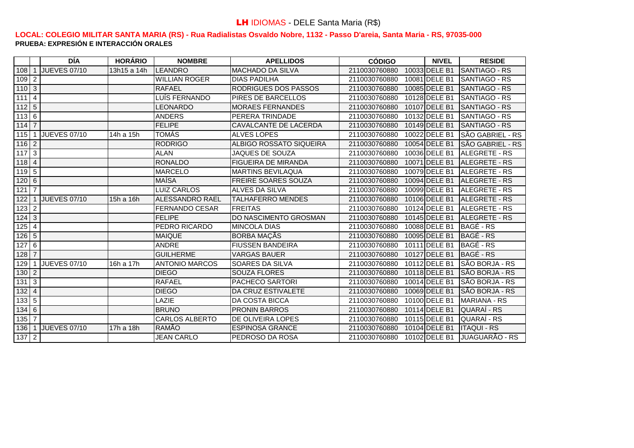|                                                                      |                 | DÍA                 | <b>HORÁRIO</b> | <b>NOMBRE</b>          | <b>APELLIDOS</b>            | <b>CÓDIGO</b> | <b>NIVEL</b>  | <b>RESIDE</b>           |
|----------------------------------------------------------------------|-----------------|---------------------|----------------|------------------------|-----------------------------|---------------|---------------|-------------------------|
| 108                                                                  | 1               | <b>JUEVES 07/10</b> | 13h15 a 14h    | LEANDRO                | <b>MACHADO DA SILVA</b>     | 2110030760880 | 10033 DELE B1 | <b>SANTIAGO - RS</b>    |
| 109                                                                  | $\overline{2}$  |                     |                | <b>WILLIAN ROGER</b>   | <b>DIAS PADILHA</b>         | 2110030760880 | 10081 DELE B1 | SANTIAGO - RS           |
| $110 \mid 3$                                                         |                 |                     |                | <b>RAFAEL</b>          | <b>RODRIGUES DOS PASSOS</b> | 2110030760880 | 10085 DELE B1 | <b>SANTIAGO - RS</b>    |
| $111$                                                                | $\overline{4}$  |                     |                | LUÍS FERNANDO          | PIRES DE BARCELLOS          | 2110030760880 | 10128 DELE B1 | SANTIAGO - RS           |
| $112$                                                                | $5\phantom{.0}$ |                     |                | LEONARDO               | <b>MORAES FERNANDES</b>     | 2110030760880 | 10107 DELE B1 | <b>SANTIAGO - RS</b>    |
| 1136                                                                 |                 |                     |                | <b>ANDERS</b>          | PERERA TRINDADE             | 2110030760880 | 10132 DELE B1 | SANTIAGO - RS           |
| $114 \mid 7$                                                         |                 |                     |                | <b>FELIPE</b>          | CAVALCANTE DE LACERDA       | 2110030760880 | 10149 DELE B1 | <b>I</b> SANTIAGO - RS  |
| 115                                                                  | 1               | <b>JUEVES 07/10</b> | 14h a 15h      | <b>TOMÁS</b>           | <b>ALVES LOPES</b>          | 2110030760880 | 10022 DELE B1 | <b>SÃO GABRIEL - RS</b> |
| $\begin{array}{ c c c c c }\n\hline\n116 & 2 \\ \hline\n\end{array}$ |                 |                     |                | <b>RODRIGO</b>         | ALBIGO ROSSATO SIQUEIRA     | 2110030760880 | 10054 DELE B1 | <b>SÃO GABRIEL - RS</b> |
| 117                                                                  | $\mathbf{3}$    |                     |                | <b>ALAN</b>            | <b>JAQUES DE SOUZA</b>      | 2110030760880 | 10036 DELE B1 | ALEGRETE - RS           |
| $118$ 4                                                              |                 |                     |                | <b>RONALDO</b>         | <b>FIGUEIRA DE MIRANDA</b>  | 2110030760880 | 10071 DELE B1 | ALEGRETE - RS           |
| $\boxed{119}$ $\boxed{5}$                                            |                 |                     |                | <b>MARCELO</b>         | <b>MARTINS BEVILAQUA</b>    | 2110030760880 | 10079 DELE B1 | <b>IALEGRETE - RS</b>   |
| 120                                                                  | $\,6\,$         |                     |                | <b>MAÍSA</b>           | <b>FREIRE SOARES SOUZA</b>  | 2110030760880 | 10094 DELE B1 | ALEGRETE - RS           |
| 121                                                                  | $\overline{7}$  |                     |                | <b>LUIZ CARLOS</b>     | <b>ALVES DA SILVA</b>       | 2110030760880 | 10099 DELE B1 | <b>IALEGRETE - RS</b>   |
| 122                                                                  |                 | <b>JUEVES 07/10</b> | 15h a 16h      | <b>ALESSANDRO RAEL</b> | <b>TALHAFERRO MENDES</b>    | 2110030760880 | 10106 DELE B1 | <b>IALEGRETE - RS</b>   |
| 123                                                                  | $\overline{2}$  |                     |                | <b>FERNANDO CESAR</b>  | <b>FREITAS</b>              | 2110030760880 | 10124 DELE B1 | ALEGRETE - RS           |
| 124                                                                  | $\mathbf{3}$    |                     |                | <b>FELIPE</b>          | DO NASCIMENTO GROSMAN       | 2110030760880 | 10145 DELE B1 | ALEGRETE - RS           |
| 125                                                                  | 4               |                     |                | PEDRO RICARDO          | <b>MINCOLA DIAS</b>         | 2110030760880 | 10088 DELE B1 | BAGÉ - RS               |
| 126                                                                  | $\sqrt{5}$      |                     |                | <b>MAIQUE</b>          | <b>BORBA MAÇÃS</b>          | 2110030760880 | 10095 DELE B1 | BAGÉ - RS               |
| 127                                                                  | 6               |                     |                | <b>ANDRE</b>           | <b>FIUSSEN BANDEIRA</b>     | 2110030760880 | 10111 DELE B1 | BAGÉ - RS               |
| $128$ 7                                                              |                 |                     |                | <b>GUILHERME</b>       | <b>VARGAS BAUER</b>         | 2110030760880 | 10127 DELE B1 | BAGÉ - RS               |
| 129                                                                  |                 | JUEVES 07/10        | 16h a 17h      | <b>ANTONIO MARCOS</b>  | SOARES DA SILVA             | 2110030760880 | 10112 DELE B1 | SÃO BORJA - RS          |
| 130                                                                  | $\overline{2}$  |                     |                | <b>DIEGO</b>           | <b>SOUZA FLORES</b>         | 2110030760880 | 10118 DELE B1 | <b>SÃO BORJA - RS</b>   |
| 131                                                                  | $\mathbf{3}$    |                     |                | <b>RAFAEL</b>          | <b>PACHECO SARTORI</b>      | 2110030760880 | 10014 DELE B1 | SÃO BORJA - RS          |
| $132$                                                                | $\overline{4}$  |                     |                | <b>DIEGO</b>           | DA CRUZ ESTIVALETE          | 2110030760880 | 10069 DELE B1 | SÃO BORJA - RS          |
| $133\overline{5}$                                                    |                 |                     |                | <b>LAZIE</b>           | DA COSTA BICCA              | 2110030760880 | 10100 DELE B1 | <b>MARIANA - RS</b>     |
| 134                                                                  | $\,6\,$         |                     |                | <b>BRUNO</b>           | <b>PRONIN BARROS</b>        | 2110030760880 | 10114 DELE B1 | QUARAÍ - RS             |
| 135                                                                  | $\overline{7}$  |                     |                | <b>CARLOS ALBERTO</b>  | DE OLIVEIRA LOPES           | 2110030760880 | 10115 DELE B1 | QUARAÍ - RS             |
| 136                                                                  |                 | <b>JUEVES 07/10</b> | 17h a 18h      | RAMÃO                  | <b>ESPINOSA GRANCE</b>      | 2110030760880 | 10104 DELE B1 | <b>I</b> ITAQUI - RS    |
| $137$ 2                                                              |                 |                     |                | <b>JEAN CARLO</b>      | PEDROSO DA ROSA             | 2110030760880 | 10102 DELE B1 | JUAGUARÃO - RS          |